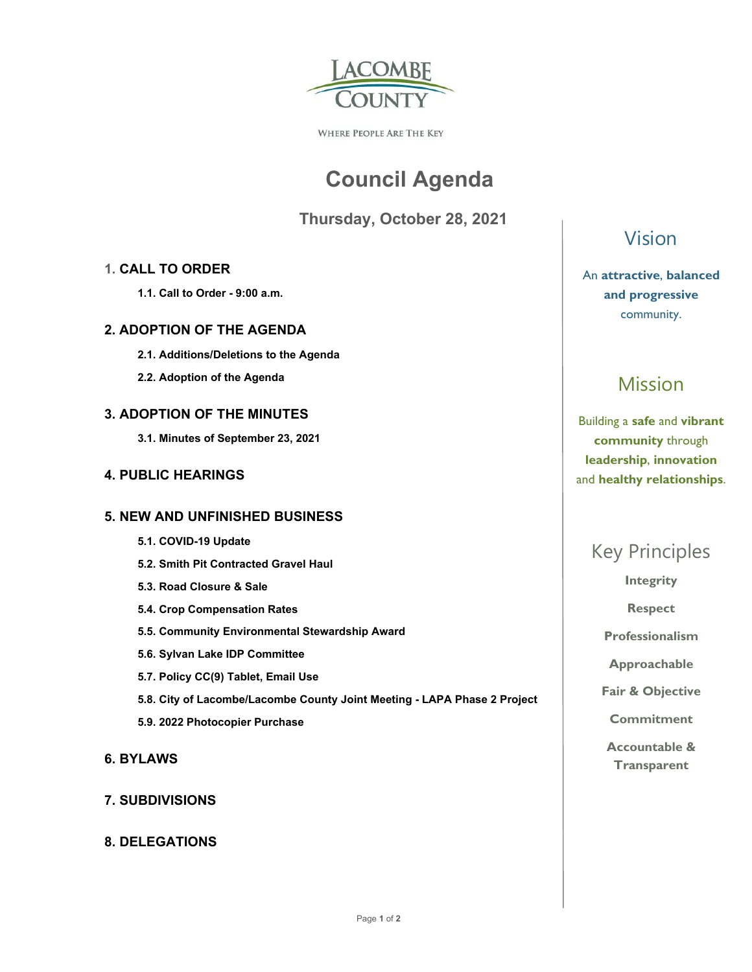

WHERE PEOPLE ARE THE KEY

# **Council Agenda**

 **Thursday, October 28, 2021** 

#### **1. CALL TO ORDER**

 **1.1. Call to Order - 9:00 a.m.** 

#### **2. ADOPTION OF THE AGENDA**

- **2.1. Additions/Deletions to the Agenda**
- **2.2. Adoption of the Agenda**

#### **3. ADOPTION OF THE MINUTES**

 **3.1. Minutes of September 23, 2021** 

#### **4. PUBLIC HEARINGS**

#### **5. NEW AND UNFINISHED BUSINESS**

- **5.1. COVID-19 Update**
- **5.2. Smith Pit Contracted Gravel Haul**
- **5.3. Road Closure & Sale**
- **5.4. Crop Compensation Rates**
- **5.5. Community Environmental Stewardship Award**
- **5.6. Sylvan Lake IDP Committee**
- **5.7. Policy CC(9) Tablet, Email Use**
- **5.8. City of Lacombe/Lacombe County Joint Meeting LAPA Phase 2 Project**
- **5.9. 2022 Photocopier Purchase**
- **6. BYLAWS**

#### **7. SUBDIVISIONS**

#### **8. DELEGATIONS**

Vision

An **attractive**, **balanced and progressive**  community.

## Mission

Building a **safe** and **vibrant community** through **leadership**, **innovation**  and **healthy relationships**.

## Key Principles

**Integrity** 

**Respect** 

**Professionalism** 

**Approachable** 

**Fair & Objective** 

**Commitment** 

**Accountable & Transparent**